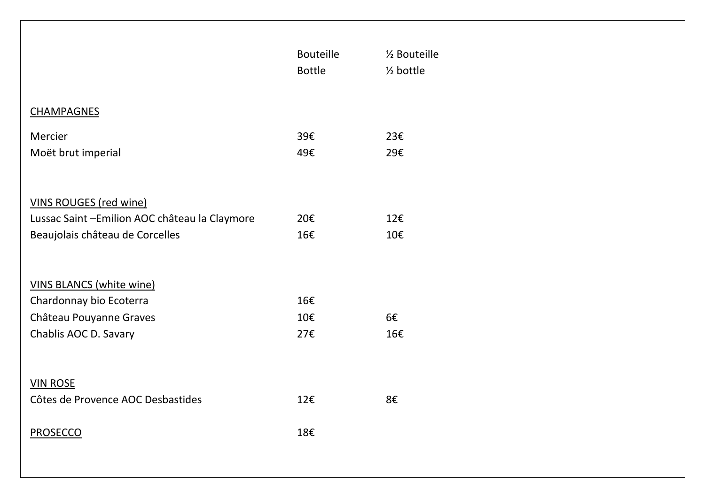|                                                | <b>Bouteille</b> | 1/ <sub>2</sub> Bouteille |
|------------------------------------------------|------------------|---------------------------|
|                                                | <b>Bottle</b>    | $\frac{1}{2}$ bottle      |
|                                                |                  |                           |
| <b>CHAMPAGNES</b>                              |                  |                           |
| Mercier                                        | 39€              | 23€                       |
| Moët brut imperial                             | 49€              | 29€                       |
|                                                |                  |                           |
|                                                |                  |                           |
| <b>VINS ROUGES (red wine)</b>                  |                  |                           |
| Lussac Saint - Emilion AOC château la Claymore | 20€              | 12€                       |
| Beaujolais château de Corcelles                | 16€              | 10€                       |
|                                                |                  |                           |
|                                                |                  |                           |
| <b>VINS BLANCS (white wine)</b>                |                  |                           |
| Chardonnay bio Ecoterra                        | 16€              |                           |
| Château Pouyanne Graves                        | 10€              | 6€                        |
| Chablis AOC D. Savary                          | 27€              | 16€                       |
|                                                |                  |                           |
|                                                |                  |                           |
| <b>VIN ROSE</b>                                |                  |                           |
| Côtes de Provence AOC Desbastides              | 12€              | 8€                        |
|                                                |                  |                           |
| <b>PROSECCO</b>                                | 18€              |                           |
|                                                |                  |                           |
|                                                |                  |                           |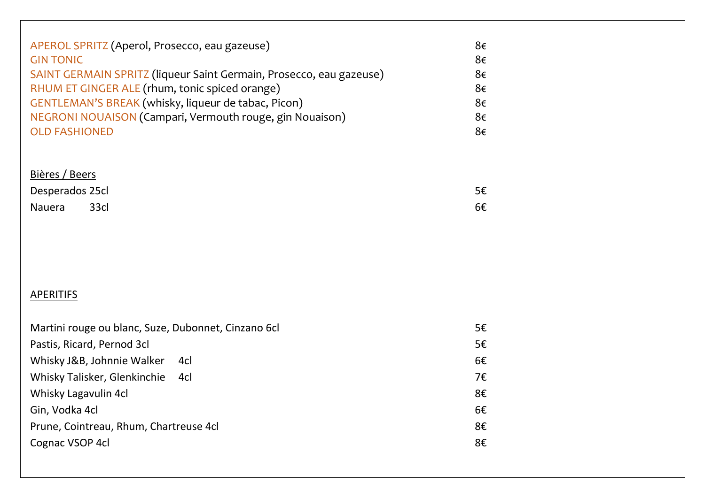| APEROL SPRITZ (Aperol, Prosecco, eau gazeuse)                       | 8€ |
|---------------------------------------------------------------------|----|
| <b>GIN TONIC</b>                                                    | 8€ |
| SAINT GERMAIN SPRITZ (liqueur Saint Germain, Prosecco, eau gazeuse) | 8€ |
| RHUM ET GINGER ALE (rhum, tonic spiced orange)                      | 8€ |
| GENTLEMAN'S BREAK (whisky, liqueur de tabac, Picon)                 | 8€ |
| NEGRONI NOUAISON (Campari, Vermouth rouge, gin Nouaison)            | 8€ |
| <b>OLD FASHIONED</b>                                                | 8€ |

# Bières / Beers

| Desperados 25cl |      | 5€ |
|-----------------|------|----|
| Nauera          | 33cl | 6€ |

# **APERITIFS**

| Martini rouge ou blanc, Suze, Dubonnet, Cinzano 6cl | 5€ |
|-----------------------------------------------------|----|
| Pastis, Ricard, Pernod 3cl                          | 5€ |
| Whisky J&B, Johnnie Walker<br>4cl                   | 6€ |
| Whisky Talisker, Glenkinchie<br>4cl                 | 7€ |
| Whisky Lagavulin 4cl                                | 8€ |
| Gin, Vodka 4cl                                      | 6€ |
| Prune, Cointreau, Rhum, Chartreuse 4cl              | 8€ |
| Cognac VSOP 4cl                                     | 8€ |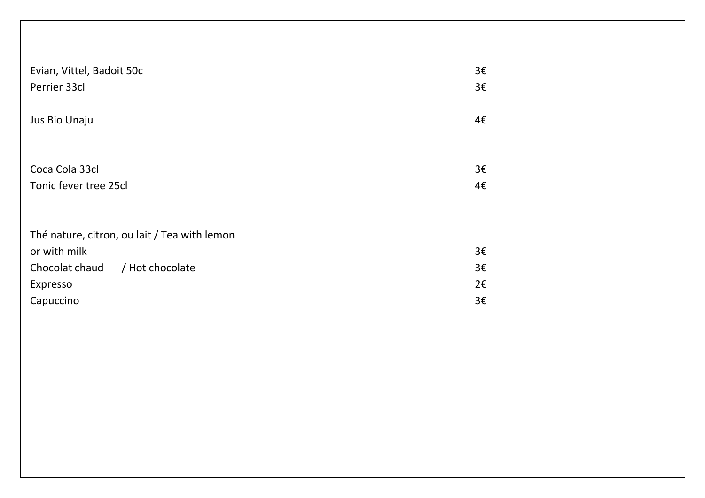| Evian, Vittel, Badoit 50c                    | 3€ |
|----------------------------------------------|----|
| Perrier 33cl                                 | 3€ |
| Jus Bio Unaju                                | 4€ |
| Coca Cola 33cl                               | 3€ |
| Tonic fever tree 25cl                        | 4€ |
| Thé nature, citron, ou lait / Tea with lemon |    |
| or with milk                                 | 3€ |
| Chocolat chaud / Hot chocolate               | 3€ |
| Expresso                                     | 2€ |
| Capuccino                                    | 3€ |
|                                              |    |
|                                              |    |
|                                              |    |
|                                              |    |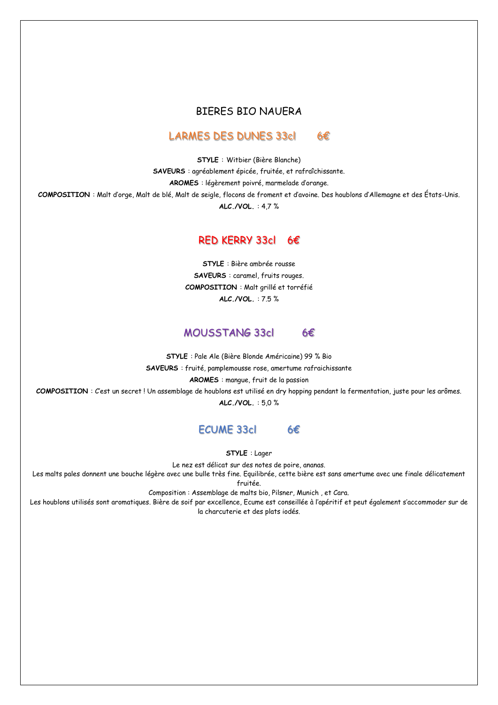#### BIERES BIO NAUERA

#### LARMES DES DUNES 33cl 6€

**STYLE** : Witbier (Bière Blanche)

**SAVEURS** : agréablement épicée, fruitée, et rafraîchissante.

**AROMES** : légèrement poivré, marmelade d'orange.

**COMPOSITION** : Malt d'orge, Malt de blé, Malt de seigle, flocons de froment et d'avoine. Des houblons d'Allemagne et des États-Unis.

**ALC./VOL.** : 4,7 %

#### RED KERRY 33cl 6€

**STYLE** : Bière ambrée rousse **SAVEURS** : caramel, fruits rouges. **COMPOSITION** : Malt grillé et torréfié **ALC./VOL.** : 7.5 %

#### MOUSSTANG 33cl 6€

**STYLE** : Pale Ale (Bière Blonde Américaine) 99 % Bio **SAVEURS** : fruité, pamplemousse rose, amertume rafraichissante **AROMES** : mangue, fruit de la passion **COMPOSITION** : C'est un secret ! Un assemblage de houblons est utilisé en dry hopping pendant la fermentation, juste pour les arômes. **ALC./VOL.** : 5,0 %

## ECUME 33cl 6€

**STYLE** : Lager

Le nez est délicat sur des notes de poire, ananas.

Les malts pales donnent une bouche légère avec une bulle très fine. Equilibrée, cette bière est sans amertume avec une finale délicatement fruitée.

Composition : Assemblage de malts bio, Pilsner, Munich , et Cara.

Les houblons utilisés sont aromatiques. Bière de soif par excellence, Ecume est conseillée à l'apéritif et peut également s'accommoder sur de la charcuterie et des plats iodés.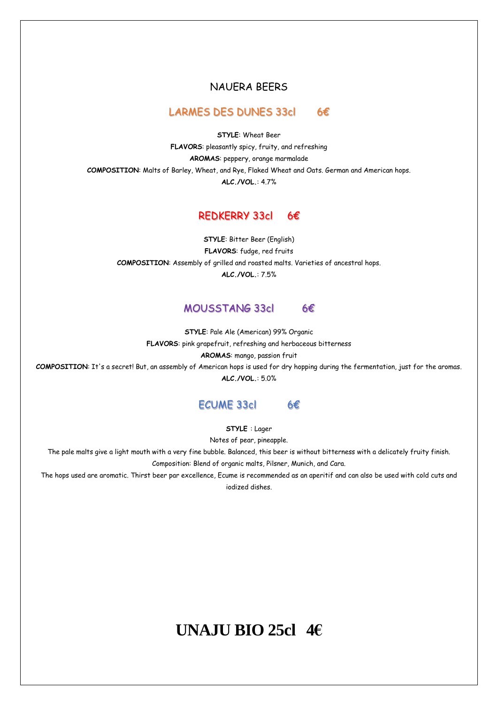#### NAUERA BEERS

#### LARMES DES DUNES 33cl 6€

**STYLE**: Wheat Beer **FLAVORS**: pleasantly spicy, fruity, and refreshing **AROMAS**: peppery, orange marmalade **COMPOSITION**: Malts of Barley, Wheat, and Rye, Flaked Wheat and Oats. German and American hops. **ALC./VOL.**: 4.7%

#### REDKERRY 33cl 6€

**STYLE**: Bitter Beer (English) **FLAVORS**: fudge, red fruits **COMPOSITION**: Assembly of grilled and roasted malts. Varieties of ancestral hops. **ALC./VOL.**: 7.5%

### MOUSSTANG 33cl 6€

**STYLE**: Pale Ale (American) 99% Organic **FLAVORS**: pink grapefruit, refreshing and herbaceous bitterness **AROMAS**: mango, passion fruit

**COMPOSITION**: It's a secret! But, an assembly of American hops is used for dry hopping during the fermentation, just for the aromas. **ALC./VOL.**: 5.0%

#### ECUME 33cl 6€

**STYLE** : Lager

Notes of pear, pineapple.

The pale malts give a light mouth with a very fine bubble. Balanced, this beer is without bitterness with a delicately fruity finish. Composition: Blend of organic malts, Pilsner, Munich, and Cara.

The hops used are aromatic. Thirst beer par excellence, Ecume is recommended as an aperitif and can also be used with cold cuts and iodized dishes.

# **UNAJU BIO 25cl 4€**